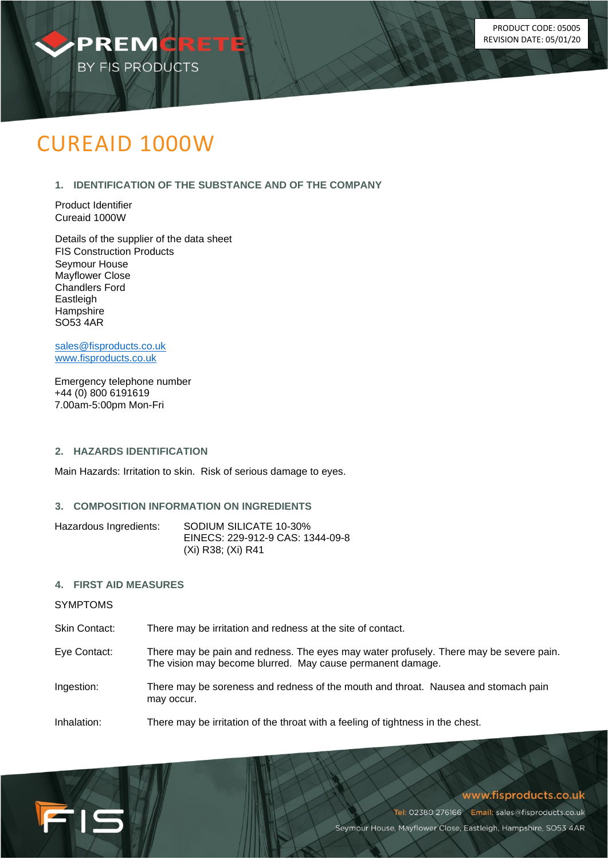

# CUREAID 1000W

# **1. IDENTIFICATION OF THE SUBSTANCE AND OF THE COMPANY**

Product Identifier Cureaid 1000W

Details of the supplier of the data sheet FIS Construction Products Seymour House Mayflower Close Chandlers Ford Eastleigh **Hampshire** SO53 4AR

[sales@fisproducts.co.uk](mailto:sales@fisproducts.co.uk) [www.fisproducts.co.uk](http://www.fisproducts.co.uk/)

Emergency telephone number +44 (0) 800 6191619 7.00am-5:00pm Mon-Fri

# **2. HAZARDS IDENTIFICATION**

Main Hazards: Irritation to skin. Risk of serious damage to eyes.

#### **3. COMPOSITION INFORMATION ON INGREDIENTS**

| Hazardous Ingredients: | SODIUM SILICATE 10-30%           |
|------------------------|----------------------------------|
|                        | EINECS: 229-912-9 CAS: 1344-09-8 |
|                        | (Xi) R38; (Xi) R41               |

#### **4. FIRST AID MEASURES**

SYMPTOMS

FIS

Skin Contact: There may be irritation and redness at the site of contact.

- Eye Contact: There may be pain and redness. The eyes may water profusely. There may be severe pain. The vision may become blurred. May cause permanent damage.
- Ingestion: There may be soreness and redness of the mouth and throat. Nausea and stomach pain may occur.

Inhalation: There may be irritation of the throat with a feeling of tightness in the chest.

#### www.fisproducts.co.uk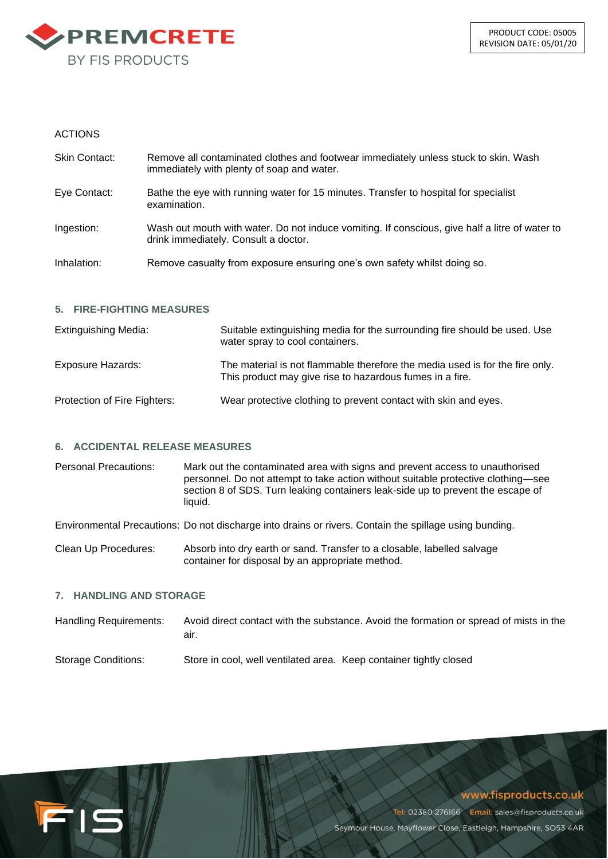

# ACTIONS

| Skin Contact: | Remove all contaminated clothes and footwear immediately unless stuck to skin. Wash<br>immediately with plenty of soap and water.      |
|---------------|----------------------------------------------------------------------------------------------------------------------------------------|
| Eye Contact:  | Bathe the eye with running water for 15 minutes. Transfer to hospital for specialist<br>examination.                                   |
| Ingestion:    | Wash out mouth with water. Do not induce vomiting. If conscious, give half a litre of water to<br>drink immediately. Consult a doctor. |
| Inhalation:   | Remove casualty from exposure ensuring one's own safety whilst doing so.                                                               |
|               |                                                                                                                                        |

# **5. FIRE-FIGHTING MEASURES**

| <b>Extinguishing Media:</b>  | Suitable extinguishing media for the surrounding fire should be used. Use<br>water spray to cool containers.                             |
|------------------------------|------------------------------------------------------------------------------------------------------------------------------------------|
| Exposure Hazards:            | The material is not flammable therefore the media used is for the fire only.<br>This product may give rise to hazardous fumes in a fire. |
| Protection of Fire Fighters: | Wear protective clothing to prevent contact with skin and eyes.                                                                          |

#### **6. ACCIDENTAL RELEASE MEASURES**

Personal Precautions: Mark out the contaminated area with signs and prevent access to unauthorised personnel. Do not attempt to take action without suitable protective clothing—see section 8 of SDS. Turn leaking containers leak-side up to prevent the escape of liquid.

Environmental Precautions: Do not discharge into drains or rivers. Contain the spillage using bunding.

Clean Up Procedures: Absorb into dry earth or sand. Transfer to a closable, labelled salvage container for disposal by an appropriate method.

#### **7. HANDLING AND STORAGE**

FIS

| Handling Requirements: | Avoid direct contact with the substance. Avoid the formation or spread of mists in the<br>air. |
|------------------------|------------------------------------------------------------------------------------------------|
| Storage Conditions:    | Store in cool, well ventilated area. Keep container tightly closed                             |

# www.fisproducts.co.uk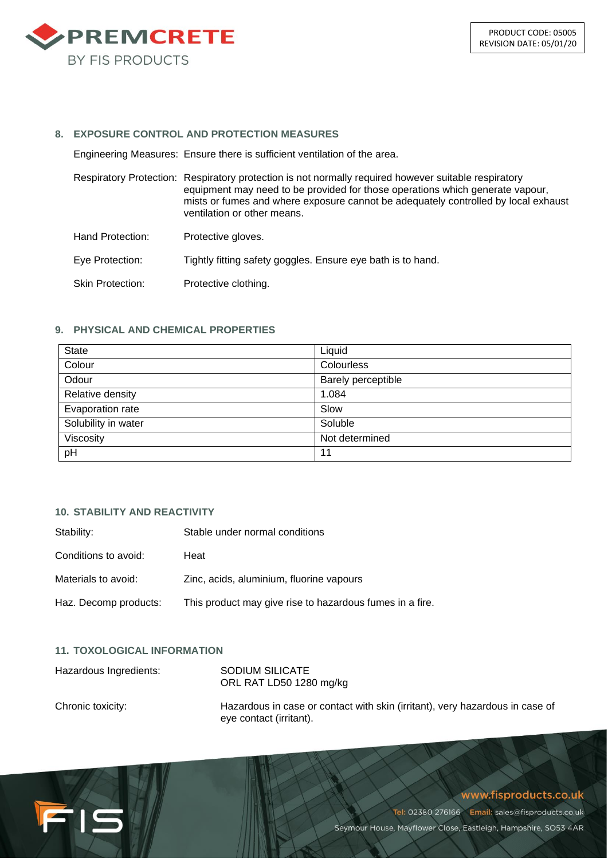

#### **8. EXPOSURE CONTROL AND PROTECTION MEASURES**

Engineering Measures: Ensure there is sufficient ventilation of the area.

Respiratory Protection: Respiratory protection is not normally required however suitable respiratory equipment may need to be provided for those operations which generate vapour, mists or fumes and where exposure cannot be adequately controlled by local exhaust ventilation or other means.

Hand Protection: Protective gloves.

Eye Protection: Tightly fitting safety goggles. Ensure eye bath is to hand.

Skin Protection: Protective clothing.

# **9. PHYSICAL AND CHEMICAL PROPERTIES**

| State               | Liquid             |
|---------------------|--------------------|
| Colour              | Colourless         |
| Odour               | Barely perceptible |
| Relative density    | 1.084              |
| Evaporation rate    | Slow               |
| Solubility in water | Soluble            |
| Viscosity           | Not determined     |
| pH                  | 11                 |

# **10. STABILITY AND REACTIVITY**

| Stability:            | Stable under normal conditions                           |
|-----------------------|----------------------------------------------------------|
| Conditions to avoid:  | Heat                                                     |
| Materials to avoid:   | Zinc, acids, aluminium, fluorine vapours                 |
| Haz. Decomp products: | This product may give rise to hazardous fumes in a fire. |

# **11. TOXOLOGICAL INFORMATION**

FIS

| Hazardous Ingredients: | SODIUM SILICATE<br>ORL RAT LD50 1280 mg/kg                                                              |
|------------------------|---------------------------------------------------------------------------------------------------------|
| Chronic toxicity:      | Hazardous in case or contact with skin (irritant), very hazardous in case of<br>eye contact (irritant). |

# www.fisproducts.co.uk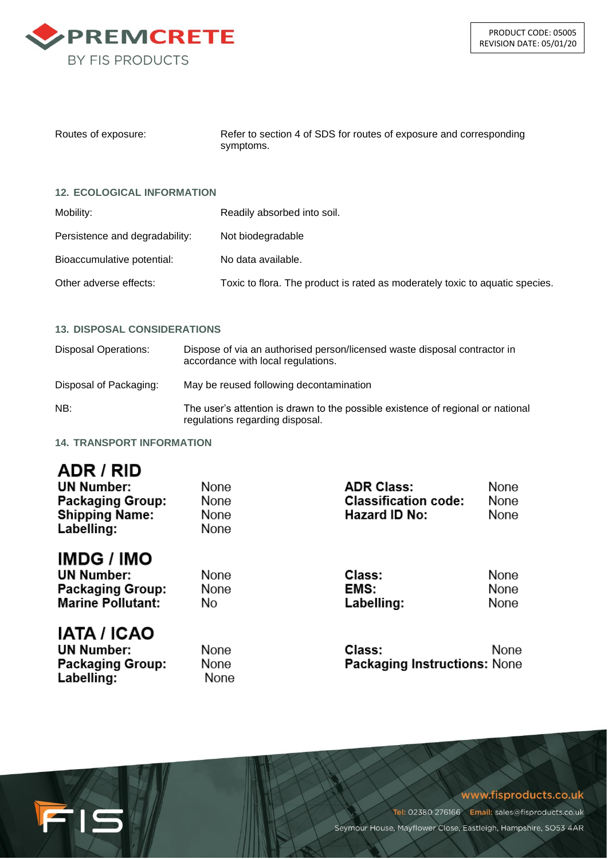

| Routes of exposure: | Refer to section 4 of SDS for routes of exposure and corresponding |
|---------------------|--------------------------------------------------------------------|
|                     | symptoms.                                                          |

#### **12. ECOLOGICAL INFORMATION**

| Mobility:                      | Readily absorbed into soil.                                                  |
|--------------------------------|------------------------------------------------------------------------------|
| Persistence and degradability: | Not biodegradable                                                            |
| Bioaccumulative potential:     | No data available.                                                           |
| Other adverse effects:         | Toxic to flora. The product is rated as moderately toxic to aquatic species. |

#### **13. DISPOSAL CONSIDERATIONS**

| Disposal Operations:   | Dispose of via an authorised person/licensed waste disposal contractor in<br>accordance with local regulations.    |
|------------------------|--------------------------------------------------------------------------------------------------------------------|
| Disposal of Packaging: | May be reused following decontamination                                                                            |
| NB:                    | The user's attention is drawn to the possible existence of regional or national<br>regulations regarding disposal. |

**14. TRANSPORT INFORMATION**

# ADR / RID

FIS

| <b>UN Number:</b><br><b>Packaging Group:</b><br><b>Shipping Name:</b><br>Labelling:           | None<br>None<br>None<br>None   | <b>ADR Class:</b><br><b>Classification code:</b><br>Hazard ID No: | None<br>None<br>None |
|-----------------------------------------------------------------------------------------------|--------------------------------|-------------------------------------------------------------------|----------------------|
| <b>IMDG / IMO</b><br><b>UN Number:</b><br><b>Packaging Group:</b><br><b>Marine Pollutant:</b> | None<br>None<br>N <sub>0</sub> | Class:<br>EMS:<br>Labelling:                                      | None<br>None<br>None |
| <b>IATA / ICAO</b><br><b>UN Number:</b><br><b>Packaging Group:</b><br>Labelling:              | None<br>None<br>None           | Class:<br><b>Packaging Instructions: None</b>                     | None                 |

#### www.fisproducts.co.uk